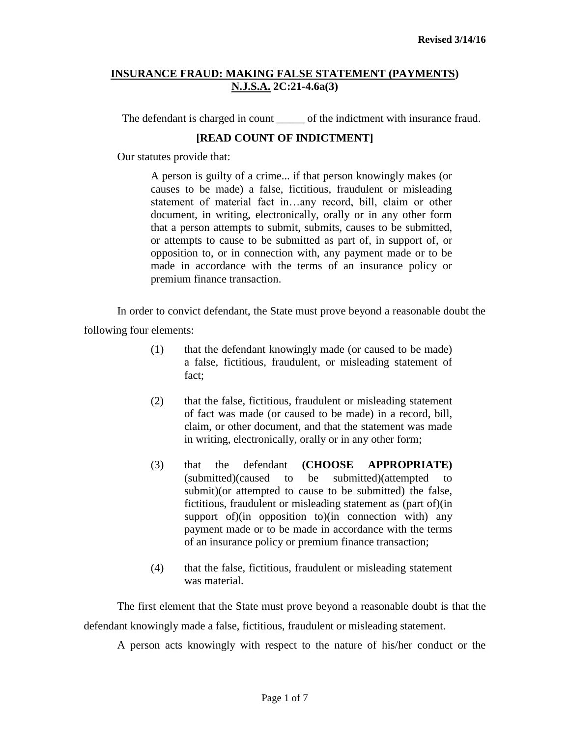The defendant is charged in count of the indictment with insurance fraud.

# **[READ COUNT OF INDICTMENT]**

Our statutes provide that:

A person is guilty of a crime... if that person knowingly makes (or causes to be made) a false, fictitious, fraudulent or misleading statement of material fact in…any record, bill, claim or other document, in writing, electronically, orally or in any other form that a person attempts to submit, submits, causes to be submitted, or attempts to cause to be submitted as part of, in support of, or opposition to, or in connection with, any payment made or to be made in accordance with the terms of an insurance policy or premium finance transaction.

In order to convict defendant, the State must prove beyond a reasonable doubt the following four elements:

- (1) that the defendant knowingly made (or caused to be made) a false, fictitious, fraudulent, or misleading statement of fact;
- (2) that the false, fictitious, fraudulent or misleading statement of fact was made (or caused to be made) in a record, bill, claim, or other document, and that the statement was made in writing, electronically, orally or in any other form;
- (3) that the defendant **(CHOOSE APPROPRIATE)** (submitted)(caused to be submitted)(attempted to submit)(or attempted to cause to be submitted) the false, fictitious, fraudulent or misleading statement as (part of)(in support of)(in opposition to)(in connection with) any payment made or to be made in accordance with the terms of an insurance policy or premium finance transaction;
- (4) that the false, fictitious, fraudulent or misleading statement was material.

The first element that the State must prove beyond a reasonable doubt is that the defendant knowingly made a false, fictitious, fraudulent or misleading statement.

A person acts knowingly with respect to the nature of his/her conduct or the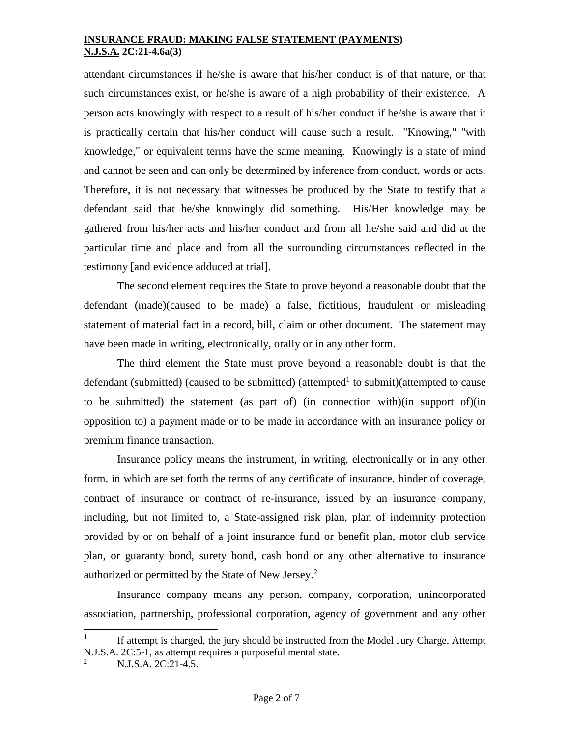attendant circumstances if he/she is aware that his/her conduct is of that nature, or that such circumstances exist, or he/she is aware of a high probability of their existence. A person acts knowingly with respect to a result of his/her conduct if he/she is aware that it is practically certain that his/her conduct will cause such a result. "Knowing," "with knowledge," or equivalent terms have the same meaning. Knowingly is a state of mind and cannot be seen and can only be determined by inference from conduct, words or acts. Therefore, it is not necessary that witnesses be produced by the State to testify that a defendant said that he/she knowingly did something. His/Her knowledge may be gathered from his/her acts and his/her conduct and from all he/she said and did at the particular time and place and from all the surrounding circumstances reflected in the testimony [and evidence adduced at trial].

The second element requires the State to prove beyond a reasonable doubt that the defendant (made)(caused to be made) a false, fictitious, fraudulent or misleading statement of material fact in a record, bill, claim or other document. The statement may have been made in writing, electronically, orally or in any other form.

The third element the State must prove beyond a reasonable doubt is that the defendant (submitted) (caused to be submitted) (attempted<sup>1</sup> to submit)(attempted to cause to be submitted) the statement (as part of) (in connection with)(in support of)(in opposition to) a payment made or to be made in accordance with an insurance policy or premium finance transaction.

Insurance policy means the instrument, in writing, electronically or in any other form, in which are set forth the terms of any certificate of insurance, binder of coverage, contract of insurance or contract of re-insurance, issued by an insurance company, including, but not limited to, a State-assigned risk plan, plan of indemnity protection provided by or on behalf of a joint insurance fund or benefit plan, motor club service plan, or guaranty bond, surety bond, cash bond or any other alternative to insurance authorized or permitted by the State of New Jersey.<sup>2</sup>

Insurance company means any person, company, corporation, unincorporated association, partnership, professional corporation, agency of government and any other

<sup>1</sup> If attempt is charged, the jury should be instructed from the Model Jury Charge, Attempt N.J.S.A. 2C:5-1, as attempt requires a purposeful mental state.

N.J.S.A. 2C:21-4.5.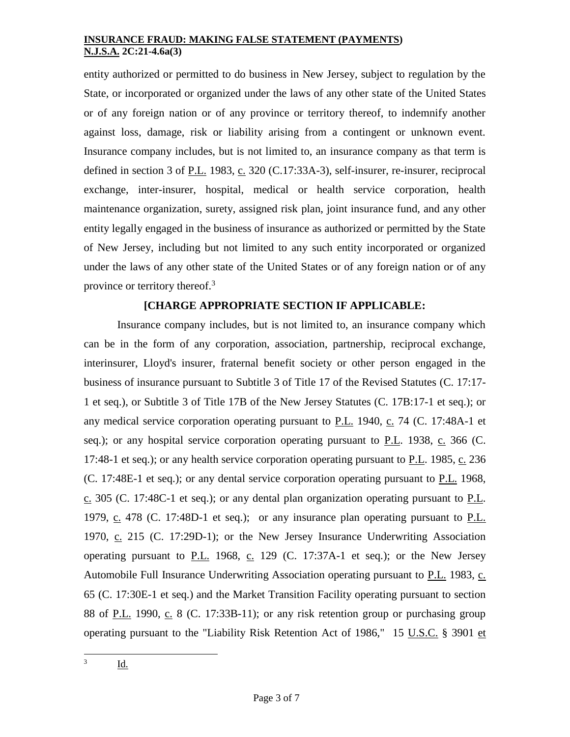entity authorized or permitted to do business in New Jersey, subject to regulation by the State, or incorporated or organized under the laws of any other state of the United States or of any foreign nation or of any province or territory thereof, to indemnify another against loss, damage, risk or liability arising from a contingent or unknown event. Insurance company includes, but is not limited to, an insurance company as that term is defined in section 3 of P.L. 1983, c. 320 (C.17:33A-3), self-insurer, re-insurer, reciprocal exchange, inter-insurer, hospital, medical or health service corporation, health maintenance organization, surety, assigned risk plan, joint insurance fund, and any other entity legally engaged in the business of insurance as authorized or permitted by the State of New Jersey, including but not limited to any such entity incorporated or organized under the laws of any other state of the United States or of any foreign nation or of any province or territory thereof.<sup>3</sup>

# **[CHARGE APPROPRIATE SECTION IF APPLICABLE:**

Insurance company includes, but is not limited to, an insurance company which can be in the form of any corporation, association, partnership, reciprocal exchange, interinsurer, Lloyd's insurer, fraternal benefit society or other person engaged in the business of insurance pursuant to Subtitle 3 of Title 17 of the Revised Statutes (C. 17:17- 1 et seq.), or Subtitle 3 of Title 17B of the New Jersey Statutes (C. 17B:17-1 et seq.); or any medical service corporation operating pursuant to  $P.L.$  1940,  $C.$  74 (C. 17:48A-1 et [seq.\)](http://web2.westlaw.com/find/default.wl?rp=%2ffind%2fdefault.wl&vc=0&DB=1000045&DocName=NJST17%3A48A%2D1&FindType=L&AP=&fn=_top&rs=WLW8.02&mt=Westlaw&vr=2.0&sv=Split); or any hospital service corporation operating pursuant to  $P.L.$  1938,  $C.$  366 [\(C.](http://web2.westlaw.com/find/default.wl?rp=%2ffind%2fdefault.wl&vc=0&DB=1000045&DocName=NJST17%3A48%2D1&FindType=L&AP=&fn=_top&rs=WLW8.02&mt=Westlaw&vr=2.0&sv=Split) [17:48-1 et seq.\)](http://web2.westlaw.com/find/default.wl?rp=%2ffind%2fdefault.wl&vc=0&DB=1000045&DocName=NJST17%3A48%2D1&FindType=L&AP=&fn=_top&rs=WLW8.02&mt=Westlaw&vr=2.0&sv=Split); or any health service corporation operating pursuant to P.L. 1985, c. 236 (C. [17:48E-1 et seq.\)](http://web2.westlaw.com/find/default.wl?rp=%2ffind%2fdefault.wl&vc=0&DB=1000045&DocName=NJST17%3A48E%2D1&FindType=L&AP=&fn=_top&rs=WLW8.02&mt=Westlaw&vr=2.0&sv=Split); or any dental service corporation operating pursuant to P.L. 1968, c. 305 (C. [17:48C-1 et seq.\)](http://web2.westlaw.com/find/default.wl?rp=%2ffind%2fdefault.wl&vc=0&DB=1000045&DocName=NJST17%3A48C%2D1&FindType=L&AP=&fn=_top&rs=WLW8.02&mt=Westlaw&vr=2.0&sv=Split); or any dental plan organization operating pursuant to P.L. 1979, c. 478 (C. [17:48D-1 et seq.\)](http://web2.westlaw.com/find/default.wl?rp=%2ffind%2fdefault.wl&vc=0&DB=1000045&DocName=NJST17%3A48D%2D1&FindType=L&AP=&fn=_top&rs=WLW8.02&mt=Westlaw&vr=2.0&sv=Split); or any insurance plan operating pursuant to P.L. 1970, c. 215 (C. [17:29D-1\)](http://web2.westlaw.com/find/default.wl?rp=%2ffind%2fdefault.wl&vc=0&DB=1000045&DocName=NJST17%3A29D%2D1&FindType=L&AP=&fn=_top&rs=WLW8.02&mt=Westlaw&vr=2.0&sv=Split); or the New Jersey Insurance Underwriting Association operating pursuant to  $P.L.$  1968, c. 129 (C. [17:37A-1 et seq.\)](http://web2.westlaw.com/find/default.wl?rp=%2ffind%2fdefault.wl&vc=0&DB=1000045&DocName=NJST17%3A37A%2D1&FindType=L&AP=&fn=_top&rs=WLW8.02&mt=Westlaw&vr=2.0&sv=Split); or the New Jersey Automobile Full Insurance Underwriting Association operating pursuant to P.L. 1983, c. 65 (C. [17:30E-1 et seq.\)](http://web2.westlaw.com/find/default.wl?rp=%2ffind%2fdefault.wl&vc=0&DB=1000045&DocName=NJST17%3A30E%2D1&FindType=L&AP=&fn=_top&rs=WLW8.02&mt=Westlaw&vr=2.0&sv=Split) and the Market Transition Facility operating pursuant to section 88 of P.L. 1990, c. 8 (C. [17:33B-11\)](http://web2.westlaw.com/find/default.wl?rp=%2ffind%2fdefault.wl&vc=0&DB=1000045&DocName=NJST17%3A33B%2D11&FindType=L&AP=&fn=_top&rs=WLW8.02&mt=Westlaw&vr=2.0&sv=Split); or any risk retention group or purchasing group operating pursuant to the "Liability Risk Retention Act of 1986," [15 U.S.C.](http://web2.westlaw.com/find/default.wl?rp=%2ffind%2fdefault.wl&vc=0&DB=1000546&DocName=15USCAS3901&FindType=L&AP=&fn=_top&rs=WLW8.02&mt=Westlaw&vr=2.0&sv=Split) § 3901 et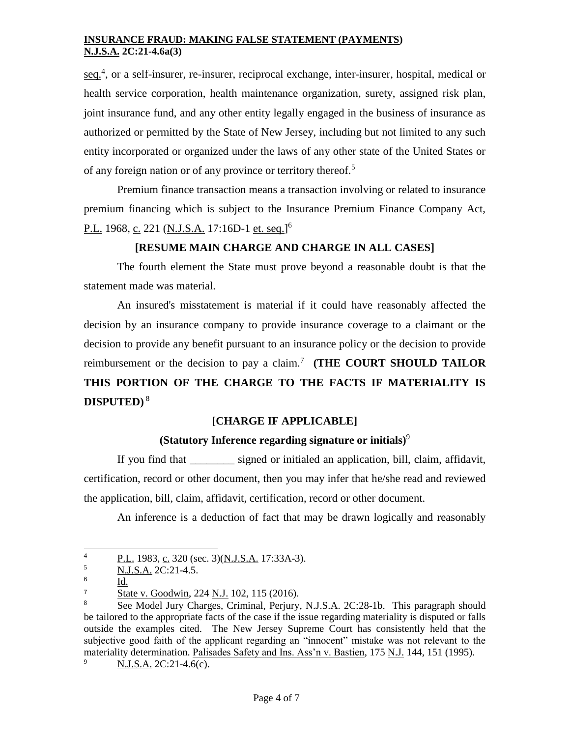[seq.](http://web2.westlaw.com/find/default.wl?rp=%2ffind%2fdefault.wl&vc=0&DB=1000546&DocName=15USCAS3901&FindType=L&AP=&fn=_top&rs=WLW8.02&mt=Westlaw&vr=2.0&sv=Split)<sup>4</sup>, or a self-insurer, re-insurer, reciprocal exchange, inter-insurer, hospital, medical or health service corporation, health maintenance organization, surety, assigned risk plan, joint insurance fund, and any other entity legally engaged in the business of insurance as authorized or permitted by the State of New Jersey, including but not limited to any such entity incorporated or organized under the laws of any other state of the United States or of any foreign nation or of any province or territory thereof.<sup>5</sup>

Premium finance transaction means a transaction involving or related to insurance premium financing which is subject to the Insurance Premium Finance Company Act, P.L. 1968, <u>c.</u> 221 (<u>N.J.S.A.</u> 17:16D-1 <u>et. seq.</u>]<sup>6</sup>

## **[RESUME MAIN CHARGE AND CHARGE IN ALL CASES]**

The fourth element the State must prove beyond a reasonable doubt is that the statement made was material.

An insured's misstatement is material if it could have reasonably affected the decision by an insurance company to provide insurance coverage to a claimant or the decision to provide any benefit pursuant to an insurance policy or the decision to provide reimbursement or the decision to pay a claim.<sup>7</sup> (THE COURT SHOULD TAILOR **THIS PORTION OF THE CHARGE TO THE FACTS IF MATERIALITY IS DISPUTED)** <sup>8</sup>

# **[CHARGE IF APPLICABLE]**

### **(Statutory Inference regarding signature or initials)**<sup>9</sup>

If you find that \_\_\_\_\_\_\_\_ signed or initialed an application, bill, claim, affidavit, certification, record or other document, then you may infer that he/she read and reviewed the application, bill, claim, affidavit, certification, record or other document.

An inference is a deduction of fact that may be drawn logically and reasonably

N.J.S.A. 2C:21-4.6(c).

 $\overline{4}$  $\frac{P.L.}{NIS}$  1983, c. 320 (sec. 3)(N.J.S.A. 17:33A-3).

<sup>5</sup> N.J.S.A. 2C:21-4.5.

<sup>6</sup> Id.

 $\frac{7}{8}$  State v. Goodwin, 224 N.J. 102, 115 (2016).

<sup>8</sup> See Model Jury Charges, Criminal, Perjury, N.J.S.A. 2C:28-1b. This paragraph should be tailored to the appropriate facts of the case if the issue regarding materiality is disputed or falls outside the examples cited. The New Jersey Supreme Court has consistently held that the subjective good faith of the applicant regarding an "innocent" mistake was not relevant to the materiality determination. Palisades Safety and Ins. Ass'n v. Bastien, 175 N.J. 144, 151 (1995).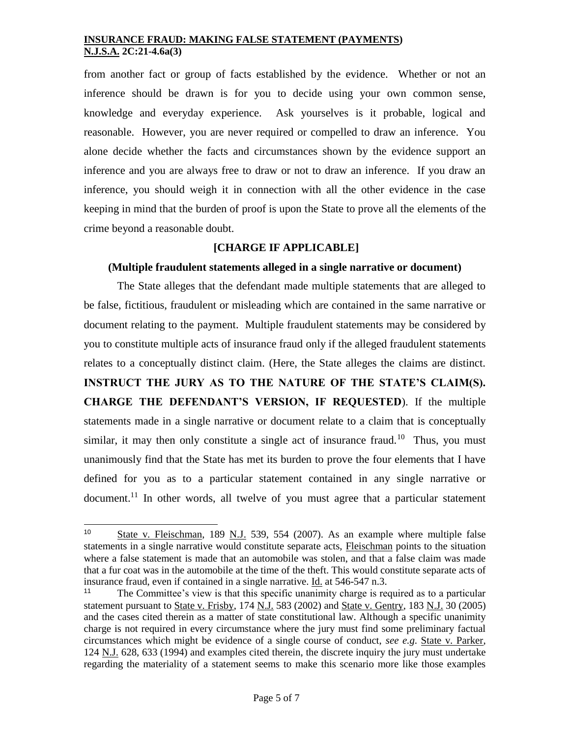from another fact or group of facts established by the evidence. Whether or not an inference should be drawn is for you to decide using your own common sense, knowledge and everyday experience. Ask yourselves is it probable, logical and reasonable. However, you are never required or compelled to draw an inference. You alone decide whether the facts and circumstances shown by the evidence support an inference and you are always free to draw or not to draw an inference. If you draw an inference, you should weigh it in connection with all the other evidence in the case keeping in mind that the burden of proof is upon the State to prove all the elements of the crime beyond a reasonable doubt.

## **[CHARGE IF APPLICABLE]**

### **(Multiple fraudulent statements alleged in a single narrative or document)**

The State alleges that the defendant made multiple statements that are alleged to be false, fictitious, fraudulent or misleading which are contained in the same narrative or document relating to the payment. Multiple fraudulent statements may be considered by you to constitute multiple acts of insurance fraud only if the alleged fraudulent statements relates to a conceptually distinct claim. (Here, the State alleges the claims are distinct. **INSTRUCT THE JURY AS TO THE NATURE OF THE STATE'S CLAIM(S). CHARGE THE DEFENDANT'S VERSION, IF REQUESTED**). If the multiple statements made in a single narrative or document relate to a claim that is conceptually similar, it may then only constitute a single act of insurance fraud.<sup>10</sup> Thus, you must unanimously find that the State has met its burden to prove the four elements that I have defined for you as to a particular statement contained in any single narrative or document.<sup>11</sup> In other words, all twelve of you must agree that a particular statement

<sup>10</sup> State v. Fleischman, 189 N.J. 539, 554 (2007). As an example where multiple false statements in a single narrative would constitute separate acts, Fleischman points to the situation where a false statement is made that an automobile was stolen, and that a false claim was made that a fur coat was in the automobile at the time of the theft. This would constitute separate acts of insurance fraud, even if contained in a single narrative. Id. at 546-547 n.3.

<sup>&</sup>lt;sup>11</sup> The Committee's view is that this specific unanimity charge is required as to a particular statement pursuant to State v. Frisby, 174 N.J. 583 (2002) and State v. Gentry, 183 N.J. 30 (2005) and the cases cited therein as a matter of state constitutional law. Although a specific unanimity charge is not required in every circumstance where the jury must find some preliminary factual circumstances which might be evidence of a single course of conduct, *see e.g*. State v. Parker, 124 N.J. 628, 633 (1994) and examples cited therein, the discrete inquiry the jury must undertake regarding the materiality of a statement seems to make this scenario more like those examples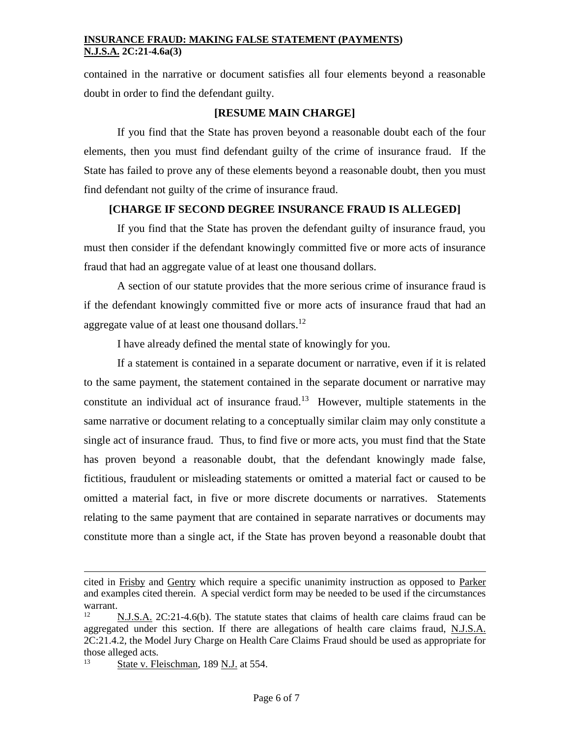contained in the narrative or document satisfies all four elements beyond a reasonable doubt in order to find the defendant guilty.

# **[RESUME MAIN CHARGE]**

If you find that the State has proven beyond a reasonable doubt each of the four elements, then you must find defendant guilty of the crime of insurance fraud. If the State has failed to prove any of these elements beyond a reasonable doubt, then you must find defendant not guilty of the crime of insurance fraud.

# **[CHARGE IF SECOND DEGREE INSURANCE FRAUD IS ALLEGED]**

If you find that the State has proven the defendant guilty of insurance fraud, you must then consider if the defendant knowingly committed five or more acts of insurance fraud that had an aggregate value of at least one thousand dollars.

A section of our statute provides that the more serious crime of insurance fraud is if the defendant knowingly committed five or more acts of insurance fraud that had an aggregate value of at least one thousand dollars.<sup>12</sup>

I have already defined the mental state of knowingly for you.

If a statement is contained in a separate document or narrative, even if it is related to the same payment, the statement contained in the separate document or narrative may constitute an individual act of insurance fraud.<sup>13</sup> However, multiple statements in the same narrative or document relating to a conceptually similar claim may only constitute a single act of insurance fraud. Thus, to find five or more acts, you must find that the State has proven beyond a reasonable doubt, that the defendant knowingly made false, fictitious, fraudulent or misleading statements or omitted a material fact or caused to be omitted a material fact, in five or more discrete documents or narratives. Statements relating to the same payment that are contained in separate narratives or documents may constitute more than a single act, if the State has proven beyond a reasonable doubt that

cited in Frisby and Gentry which require a specific unanimity instruction as opposed to Parker and examples cited therein. A special verdict form may be needed to be used if the circumstances warrant.

<sup>12</sup> N.J.S.A. 2C:21-4.6(b). The statute states that claims of health care claims fraud can be aggregated under this section. If there are allegations of health care claims fraud, N.J.S.A. 2C:21.4.2, the Model Jury Charge on Health Care Claims Fraud should be used as appropriate for those alleged acts.

 $13$  State v. Fleischman, 189 N.J. at 554.